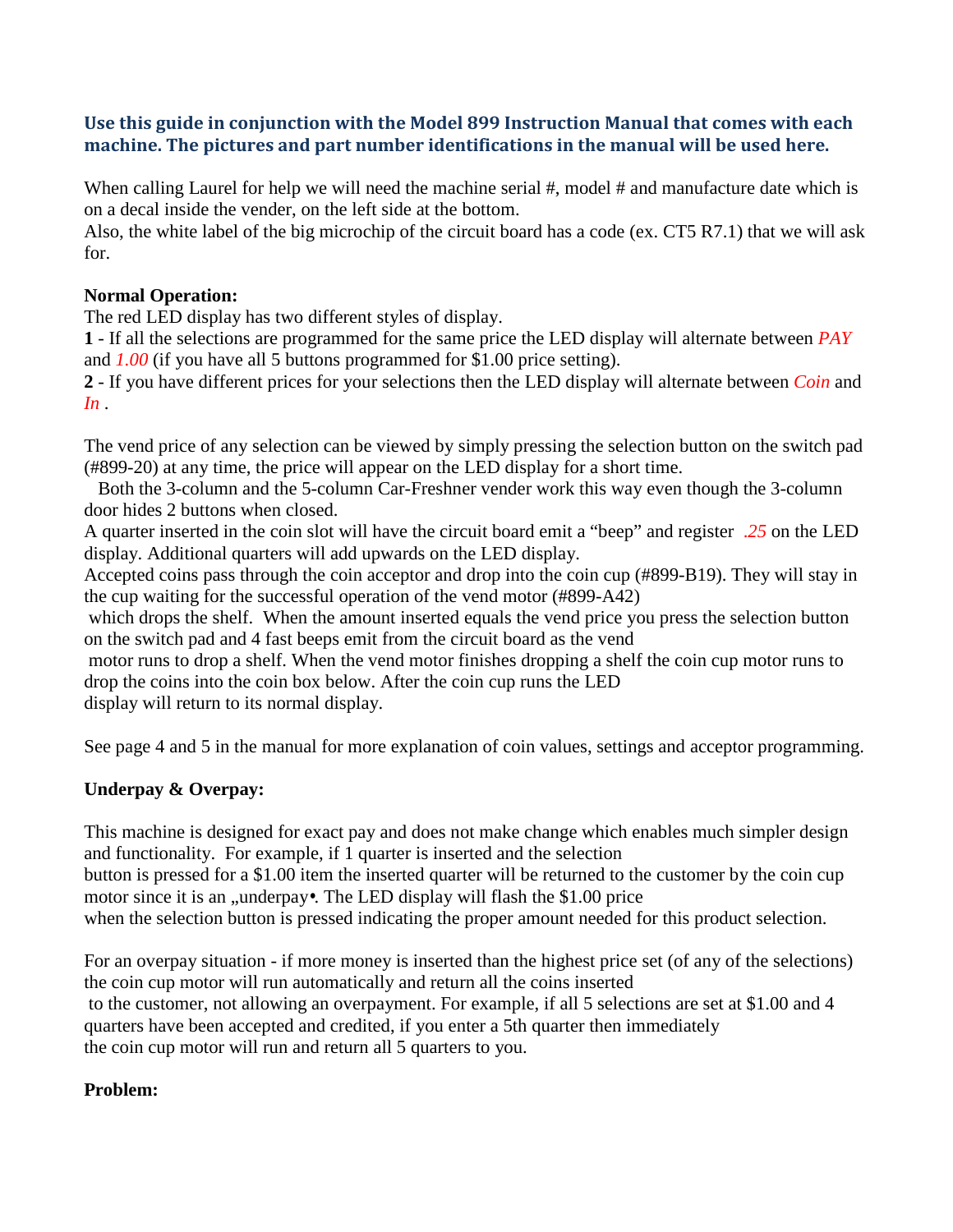# **Use this guide in conjunction with the Model 899 Instruction Manual that comes with each machine. The pictures and part number identifications in the manual will be used here.**

When calling Laurel for help we will need the machine serial #, model # and manufacture date which is on a decal inside the vender, on the left side at the bottom.

Also, the white label of the big microchip of the circuit board has a code (ex. CT5 R7.1) that we will ask for.

### **Normal Operation:**

The red LED display has two different styles of display.

**1** - If all the selections are programmed for the same price the LED display will alternate between *PAY*  and *1.00* (if you have all 5 buttons programmed for \$1.00 price setting).

**2** - If you have different prices for your selections then the LED display will alternate between *Coin* and *In* .

The vend price of any selection can be viewed by simply pressing the selection button on the switch pad (#899-20) at any time, the price will appear on the LED display for a short time.

 Both the 3-column and the 5-column Car-Freshner vender work this way even though the 3-column door hides 2 buttons when closed.

A quarter inserted in the coin slot will have the circuit board emit a "beep" and register .*25* on the LED display. Additional quarters will add upwards on the LED display.

Accepted coins pass through the coin acceptor and drop into the coin cup (#899-B19). They will stay in the cup waiting for the successful operation of the vend motor (#899-A42)

which drops the shelf. When the amount inserted equals the vend price you press the selection button on the switch pad and 4 fast beeps emit from the circuit board as the vend

motor runs to drop a shelf. When the vend motor finishes dropping a shelf the coin cup motor runs to drop the coins into the coin box below. After the coin cup runs the LED display will return to its normal display.

See page 4 and 5 in the manual for more explanation of coin values, settings and acceptor programming.

# **Underpay & Overpay:**

This machine is designed for exact pay and does not make change which enables much simpler design and functionality. For example, if 1 quarter is inserted and the selection button is pressed for a \$1.00 item the inserted quarter will be returned to the customer by the coin cup motor since it is an ,, underpay•. The LED display will flash the  $$1.00$  price when the selection button is pressed indicating the proper amount needed for this product selection.

For an overpay situation - if more money is inserted than the highest price set (of any of the selections) the coin cup motor will run automatically and return all the coins inserted to the customer, not allowing an overpayment. For example, if all 5 selections are set at \$1.00 and 4 quarters have been accepted and credited, if you enter a 5th quarter then immediately the coin cup motor will run and return all 5 quarters to you.

### **Problem:**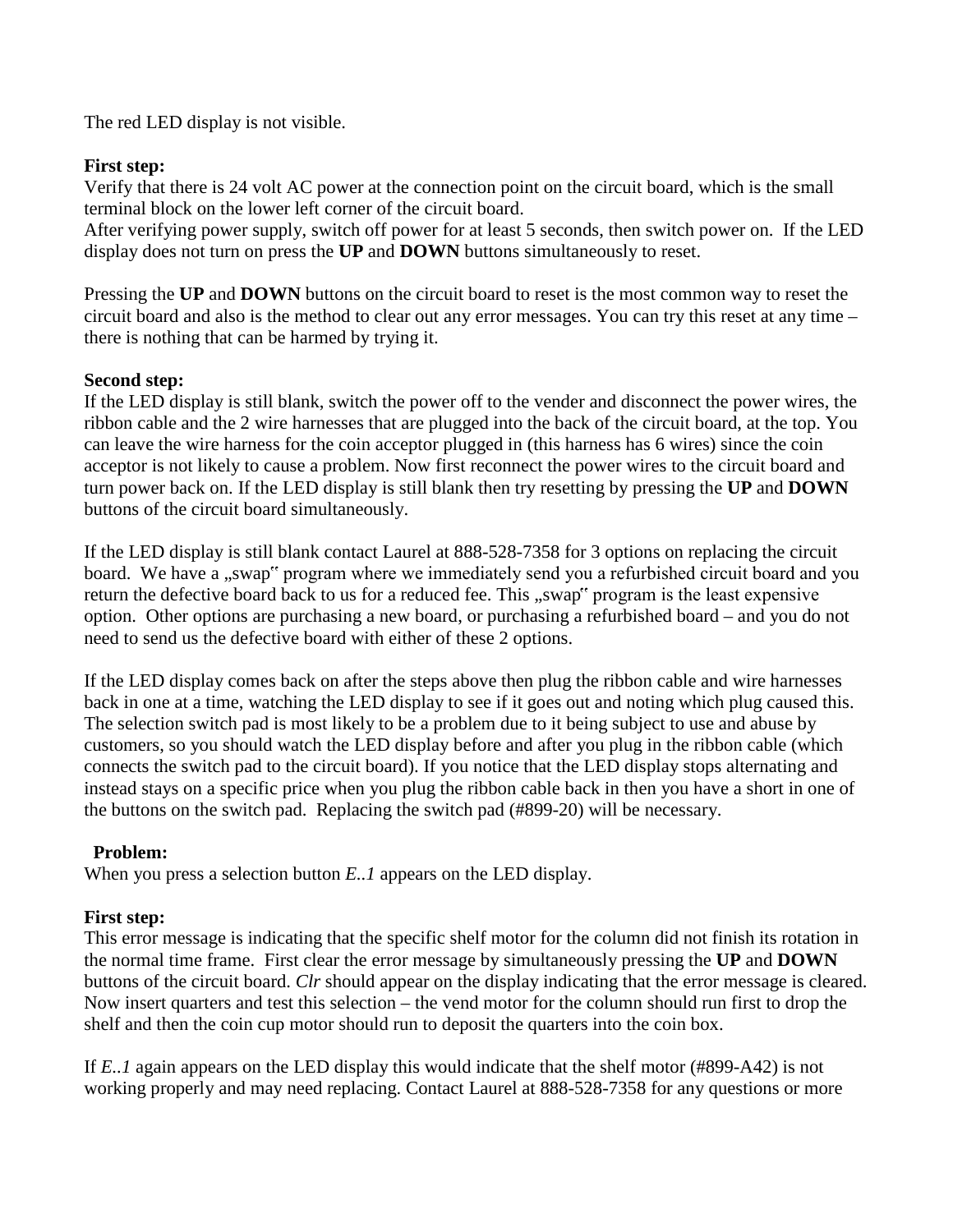The red LED display is not visible.

# **First step:**

Verify that there is 24 volt AC power at the connection point on the circuit board, which is the small terminal block on the lower left corner of the circuit board.

After verifying power supply, switch off power for at least 5 seconds, then switch power on. If the LED display does not turn on press the **UP** and **DOWN** buttons simultaneously to reset.

Pressing the **UP** and **DOWN** buttons on the circuit board to reset is the most common way to reset the circuit board and also is the method to clear out any error messages. You can try this reset at any time – there is nothing that can be harmed by trying it.

# **Second step:**

If the LED display is still blank, switch the power off to the vender and disconnect the power wires, the ribbon cable and the 2 wire harnesses that are plugged into the back of the circuit board, at the top. You can leave the wire harness for the coin acceptor plugged in (this harness has 6 wires) since the coin acceptor is not likely to cause a problem. Now first reconnect the power wires to the circuit board and turn power back on. If the LED display is still blank then try resetting by pressing the **UP** and **DOWN**  buttons of the circuit board simultaneously.

If the LED display is still blank contact Laurel at 888-528-7358 for 3 options on replacing the circuit board. We have a "swap" program where we immediately send you a refurbished circuit board and you return the defective board back to us for a reduced fee. This "swap" program is the least expensive option. Other options are purchasing a new board, or purchasing a refurbished board – and you do not need to send us the defective board with either of these 2 options.

If the LED display comes back on after the steps above then plug the ribbon cable and wire harnesses back in one at a time, watching the LED display to see if it goes out and noting which plug caused this. The selection switch pad is most likely to be a problem due to it being subject to use and abuse by customers, so you should watch the LED display before and after you plug in the ribbon cable (which connects the switch pad to the circuit board). If you notice that the LED display stops alternating and instead stays on a specific price when you plug the ribbon cable back in then you have a short in one of the buttons on the switch pad. Replacing the switch pad (#899-20) will be necessary.

# **Problem:**

When you press a selection button *E..1* appears on the LED display.

# **First step:**

This error message is indicating that the specific shelf motor for the column did not finish its rotation in the normal time frame. First clear the error message by simultaneously pressing the **UP** and **DOWN**  buttons of the circuit board. *Clr* should appear on the display indicating that the error message is cleared. Now insert quarters and test this selection – the vend motor for the column should run first to drop the shelf and then the coin cup motor should run to deposit the quarters into the coin box.

If *E..1* again appears on the LED display this would indicate that the shelf motor (#899-A42) is not working properly and may need replacing. Contact Laurel at 888-528-7358 for any questions or more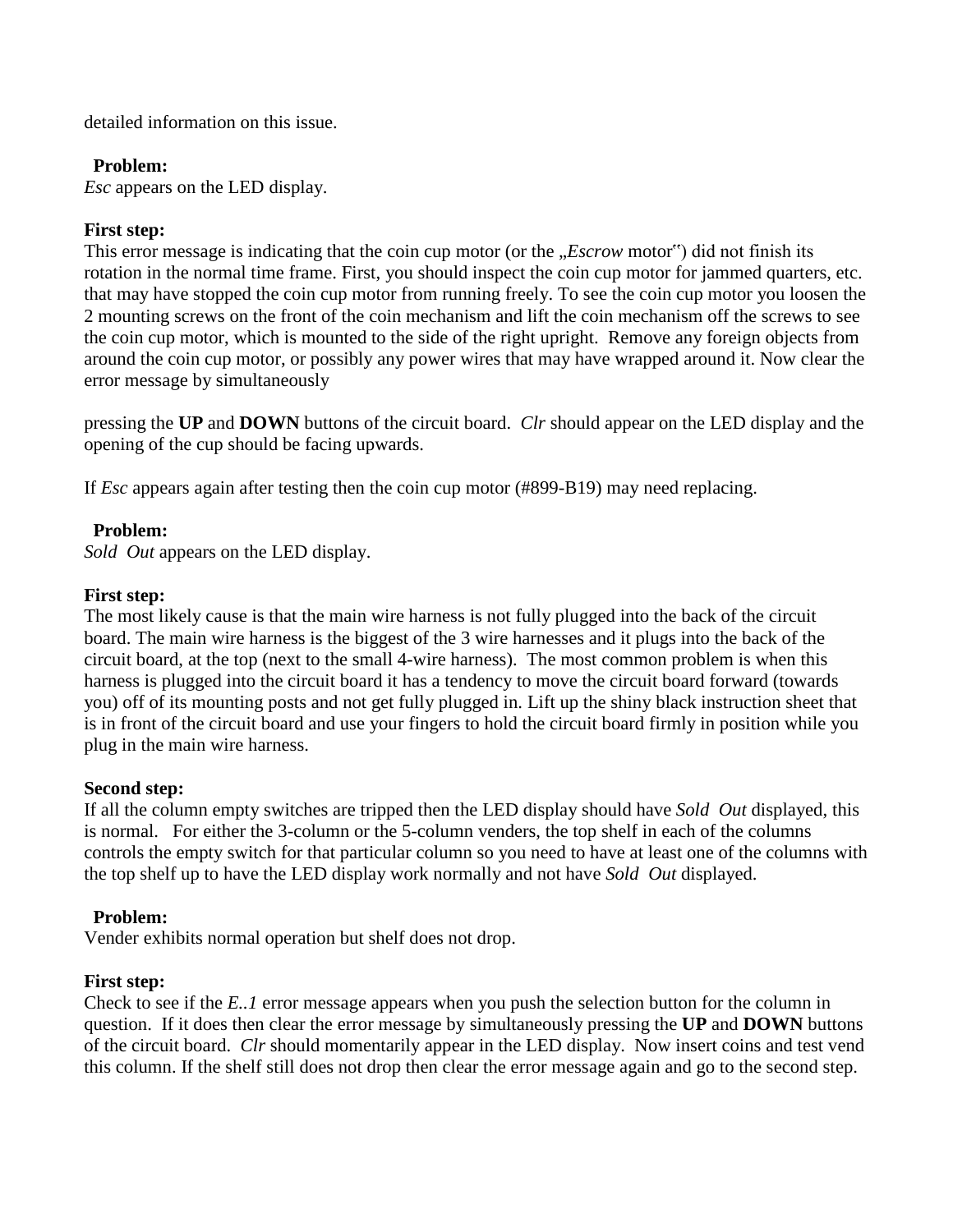detailed information on this issue.

### **Problem:**

*Esc* appears on the LED display.

### **First step:**

This error message is indicating that the coin cup motor (or the *"Escrow* motor") did not finish its rotation in the normal time frame. First, you should inspect the coin cup motor for jammed quarters, etc. that may have stopped the coin cup motor from running freely. To see the coin cup motor you loosen the 2 mounting screws on the front of the coin mechanism and lift the coin mechanism off the screws to see the coin cup motor, which is mounted to the side of the right upright. Remove any foreign objects from around the coin cup motor, or possibly any power wires that may have wrapped around it. Now clear the error message by simultaneously

pressing the **UP** and **DOWN** buttons of the circuit board. *Clr* should appear on the LED display and the opening of the cup should be facing upwards.

If *Esc* appears again after testing then the coin cup motor (#899-B19) may need replacing.

### **Problem:**

*Sold Out* appears on the LED display.

### **First step:**

The most likely cause is that the main wire harness is not fully plugged into the back of the circuit board. The main wire harness is the biggest of the 3 wire harnesses and it plugs into the back of the circuit board, at the top (next to the small 4-wire harness). The most common problem is when this harness is plugged into the circuit board it has a tendency to move the circuit board forward (towards you) off of its mounting posts and not get fully plugged in. Lift up the shiny black instruction sheet that is in front of the circuit board and use your fingers to hold the circuit board firmly in position while you plug in the main wire harness.

### **Second step:**

If all the column empty switches are tripped then the LED display should have *Sold Out* displayed, this is normal. For either the 3-column or the 5-column venders, the top shelf in each of the columns controls the empty switch for that particular column so you need to have at least one of the columns with the top shelf up to have the LED display work normally and not have *Sold Out* displayed.

### **Problem:**

Vender exhibits normal operation but shelf does not drop.

#### **First step:**

Check to see if the *E..1* error message appears when you push the selection button for the column in question. If it does then clear the error message by simultaneously pressing the **UP** and **DOWN** buttons of the circuit board. *Clr* should momentarily appear in the LED display. Now insert coins and test vend this column. If the shelf still does not drop then clear the error message again and go to the second step.